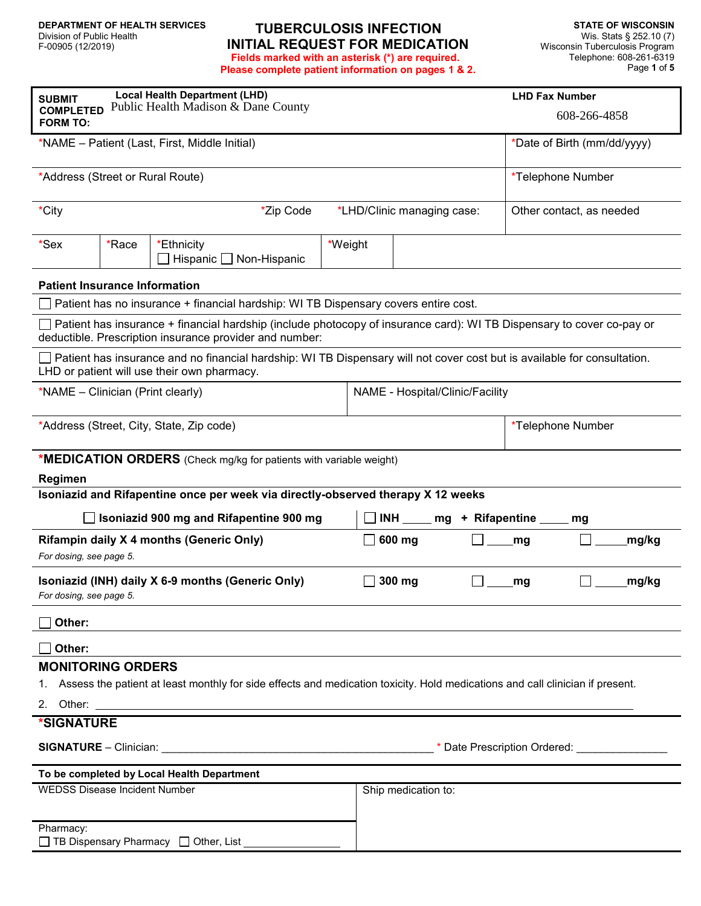### **TUBERCULOSIS INFECTION INITIAL REQUEST FOR MEDICATION Fields marked with an asterisk (\*) are required.**

**Please complete patient information on pages 1 & 2.**

| <b>Local Health Department (LHD)</b><br><b>SUBMIT</b><br>Public Health Madison & Dane County<br><b>COMPLETED</b><br><b>FORM TO:</b>                                              |                                                                                     |                                                                                                                                                                                                                               |         |        |                                           |                            |       | <b>LHD Fax Number</b><br>608-266-4858 |  |
|----------------------------------------------------------------------------------------------------------------------------------------------------------------------------------|-------------------------------------------------------------------------------------|-------------------------------------------------------------------------------------------------------------------------------------------------------------------------------------------------------------------------------|---------|--------|-------------------------------------------|----------------------------|-------|---------------------------------------|--|
| *NAME - Patient (Last, First, Middle Initial)                                                                                                                                    |                                                                                     |                                                                                                                                                                                                                               |         |        |                                           |                            |       | *Date of Birth (mm/dd/yyyy)           |  |
| *Address (Street or Rural Route)                                                                                                                                                 |                                                                                     |                                                                                                                                                                                                                               |         |        |                                           |                            |       | *Telephone Number                     |  |
| *City                                                                                                                                                                            | *Zip Code                                                                           |                                                                                                                                                                                                                               |         |        |                                           | *LHD/Clinic managing case: |       | Other contact, as needed              |  |
| *Sex                                                                                                                                                                             | *Race                                                                               | *Ethnicity<br>Hispanic   Non-Hispanic                                                                                                                                                                                         | *Weight |        |                                           |                            |       |                                       |  |
|                                                                                                                                                                                  | <b>Patient Insurance Information</b>                                                |                                                                                                                                                                                                                               |         |        |                                           |                            |       |                                       |  |
|                                                                                                                                                                                  | Patient has no insurance + financial hardship: WI TB Dispensary covers entire cost. |                                                                                                                                                                                                                               |         |        |                                           |                            |       |                                       |  |
| Patient has insurance + financial hardship (include photocopy of insurance card): WI TB Dispensary to cover co-pay or<br>deductible. Prescription insurance provider and number: |                                                                                     |                                                                                                                                                                                                                               |         |        |                                           |                            |       |                                       |  |
| Patient has insurance and no financial hardship: WI TB Dispensary will not cover cost but is available for consultation.<br>LHD or patient will use their own pharmacy.          |                                                                                     |                                                                                                                                                                                                                               |         |        |                                           |                            |       |                                       |  |
| NAME - Hospital/Clinic/Facility<br>*NAME – Clinician (Print clearly)                                                                                                             |                                                                                     |                                                                                                                                                                                                                               |         |        |                                           |                            |       |                                       |  |
|                                                                                                                                                                                  |                                                                                     | *Address (Street, City, State, Zip code)                                                                                                                                                                                      |         |        |                                           |                            |       | *Telephone Number                     |  |
|                                                                                                                                                                                  |                                                                                     | <b>*MEDICATION ORDERS</b> (Check mg/kg for patients with variable weight)                                                                                                                                                     |         |        |                                           |                            |       |                                       |  |
| Regimen                                                                                                                                                                          |                                                                                     |                                                                                                                                                                                                                               |         |        |                                           |                            |       |                                       |  |
|                                                                                                                                                                                  |                                                                                     | Isoniazid and Rifapentine once per week via directly-observed therapy X 12 weeks                                                                                                                                              |         |        |                                           |                            |       |                                       |  |
|                                                                                                                                                                                  |                                                                                     | Isoniazid 900 mg and Rifapentine 900 mg                                                                                                                                                                                       |         |        | <b>INH</b><br>+ Rifapentine _<br>mg<br>mg |                            |       |                                       |  |
| Rifampin daily X 4 months (Generic Only)<br>For dosing, see page 5.                                                                                                              |                                                                                     |                                                                                                                                                                                                                               |         |        | 600 mg                                    |                            | mg    | mg/kg                                 |  |
| Isoniazid (INH) daily X 6-9 months (Generic Only)<br>For dosing, see page 5.                                                                                                     |                                                                                     |                                                                                                                                                                                                                               |         | 300 mg |                                           | mg                         | mg/kg |                                       |  |
| Other:                                                                                                                                                                           |                                                                                     |                                                                                                                                                                                                                               |         |        |                                           |                            |       |                                       |  |
| Other:                                                                                                                                                                           |                                                                                     |                                                                                                                                                                                                                               |         |        |                                           |                            |       |                                       |  |
| <b>MONITORING ORDERS</b>                                                                                                                                                         |                                                                                     |                                                                                                                                                                                                                               |         |        |                                           |                            |       |                                       |  |
| 1. Assess the patient at least monthly for side effects and medication toxicity. Hold medications and call clinician if present.                                                 |                                                                                     |                                                                                                                                                                                                                               |         |        |                                           |                            |       |                                       |  |
|                                                                                                                                                                                  |                                                                                     | 2. Other: the contract of the contract of the contract of the contract of the contract of the contract of the contract of the contract of the contract of the contract of the contract of the contract of the contract of the |         |        |                                           |                            |       |                                       |  |
| <b>*SIGNATURE</b>                                                                                                                                                                |                                                                                     |                                                                                                                                                                                                                               |         |        |                                           |                            |       |                                       |  |
|                                                                                                                                                                                  |                                                                                     |                                                                                                                                                                                                                               |         |        |                                           |                            |       |                                       |  |
|                                                                                                                                                                                  |                                                                                     | To be completed by Local Health Department                                                                                                                                                                                    |         |        |                                           |                            |       |                                       |  |
| <b>WEDSS Disease Incident Number</b>                                                                                                                                             |                                                                                     |                                                                                                                                                                                                                               |         |        | Ship medication to:                       |                            |       |                                       |  |

Pharmacy:  $\Box$  TB Dispensary Pharmacy  $\Box$  Other, List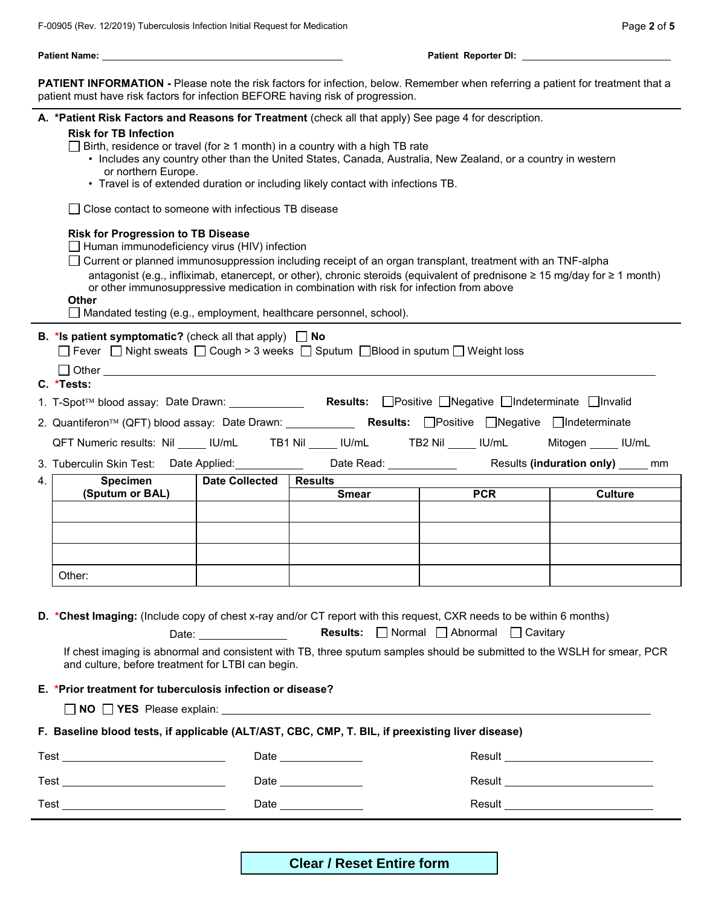$\overline{\phantom{a}}$ 

| Patient Name: with a state of the control of the control of the control of the control of the control of the control of the control of the control of the control of the control of the control of the control of the control                                                                                                                                                                                                                                                                                                                                                                                                                                                                                                                                                                            |                                                                                                                                                                                                                                                                                                                                                                                                                                                                                                                                                                                                                                                                                                                                                                                                                                                                                                                                                                     |                                                                                                                                                                                                                                |                                |                                                                                                                                                                                          |                                     |  |  |  |
|----------------------------------------------------------------------------------------------------------------------------------------------------------------------------------------------------------------------------------------------------------------------------------------------------------------------------------------------------------------------------------------------------------------------------------------------------------------------------------------------------------------------------------------------------------------------------------------------------------------------------------------------------------------------------------------------------------------------------------------------------------------------------------------------------------|---------------------------------------------------------------------------------------------------------------------------------------------------------------------------------------------------------------------------------------------------------------------------------------------------------------------------------------------------------------------------------------------------------------------------------------------------------------------------------------------------------------------------------------------------------------------------------------------------------------------------------------------------------------------------------------------------------------------------------------------------------------------------------------------------------------------------------------------------------------------------------------------------------------------------------------------------------------------|--------------------------------------------------------------------------------------------------------------------------------------------------------------------------------------------------------------------------------|--------------------------------|------------------------------------------------------------------------------------------------------------------------------------------------------------------------------------------|-------------------------------------|--|--|--|
|                                                                                                                                                                                                                                                                                                                                                                                                                                                                                                                                                                                                                                                                                                                                                                                                          | PATIENT INFORMATION - Please note the risk factors for infection, below. Remember when referring a patient for treatment that a<br>patient must have risk factors for infection BEFORE having risk of progression.                                                                                                                                                                                                                                                                                                                                                                                                                                                                                                                                                                                                                                                                                                                                                  |                                                                                                                                                                                                                                |                                |                                                                                                                                                                                          |                                     |  |  |  |
|                                                                                                                                                                                                                                                                                                                                                                                                                                                                                                                                                                                                                                                                                                                                                                                                          | A. *Patient Risk Factors and Reasons for Treatment (check all that apply) See page 4 for description.<br><b>Risk for TB Infection</b><br>Birth, residence or travel (for ≥ 1 month) in a country with a high TB rate<br>• Includes any country other than the United States, Canada, Australia, New Zealand, or a country in western<br>or northern Europe.<br>• Travel is of extended duration or including likely contact with infections TB.<br>Close contact to someone with infectious TB disease<br><b>Risk for Progression to TB Disease</b><br>$\Box$ Human immunodeficiency virus (HIV) infection<br>□ Current or planned immunosuppression including receipt of an organ transplant, treatment with an TNF-alpha<br>antagonist (e.g., infliximab, etanercept, or other), chronic steroids (equivalent of prednisone ≥ 15 mg/day for ≥ 1 month)<br>or other immunosuppressive medication in combination with risk for infection from above<br><b>Other</b> |                                                                                                                                                                                                                                |                                |                                                                                                                                                                                          |                                     |  |  |  |
| $\Box$ Mandated testing (e.g., employment, healthcare personnel, school).<br><b>B.</b> *Is patient symptomatic? (check all that apply) $\Box$ No<br>$\Box$ Fever $\Box$ Night sweats $\Box$ Cough > 3 weeks $\Box$ Sputum $\Box$ Blood in sputum $\Box$ Weight loss<br>$\Box$ Other $\Box$<br>C. *Tests:<br>1. T-Spot™ blood assay: Date Drawn: ________________ Results: □Positive □Negative □Indeterminate □Invalid<br>2. Quantiferon <sup>™</sup> (QFT) blood assay: Date Drawn: _____________ Results: □Positive □Negative □Indeterminate<br>QFT Numeric results: Nil ____ IU/mL TB1 Nil ____ IU/mL TB2 Nil ____ IU/mL Mitogen ____ IU/mL<br>3. Tuberculin Skin Test: Date Applied: Dublet Controller Read: Date Read: Dublet Controller Controller Controller<br>Results (induration only) _____ mm |                                                                                                                                                                                                                                                                                                                                                                                                                                                                                                                                                                                                                                                                                                                                                                                                                                                                                                                                                                     |                                                                                                                                                                                                                                |                                |                                                                                                                                                                                          |                                     |  |  |  |
| 4.                                                                                                                                                                                                                                                                                                                                                                                                                                                                                                                                                                                                                                                                                                                                                                                                       | Specimen<br>(Sputum or BAL)                                                                                                                                                                                                                                                                                                                                                                                                                                                                                                                                                                                                                                                                                                                                                                                                                                                                                                                                         | <b>Date Collected</b>                                                                                                                                                                                                          | <b>Results</b><br><b>Smear</b> | <b>PCR</b>                                                                                                                                                                               | <b>Culture</b>                      |  |  |  |
|                                                                                                                                                                                                                                                                                                                                                                                                                                                                                                                                                                                                                                                                                                                                                                                                          | Other:                                                                                                                                                                                                                                                                                                                                                                                                                                                                                                                                                                                                                                                                                                                                                                                                                                                                                                                                                              |                                                                                                                                                                                                                                |                                |                                                                                                                                                                                          |                                     |  |  |  |
|                                                                                                                                                                                                                                                                                                                                                                                                                                                                                                                                                                                                                                                                                                                                                                                                          | D. *Chest Imaging: (Include copy of chest x-ray and/or CT report with this request, CXR needs to be within 6 months)<br>and culture, before treatment for LTBI can begin.                                                                                                                                                                                                                                                                                                                                                                                                                                                                                                                                                                                                                                                                                                                                                                                           | Date: the contract of the contract of the contract of the contract of the contract of the contract of the contract of the contract of the contract of the contract of the contract of the contract of the contract of the cont |                                | Results: <b>O</b> Normal <b>O</b> Abnormal <b>O</b> Cavitary<br>If chest imaging is abnormal and consistent with TB, three sputum samples should be submitted to the WSLH for smear, PCR |                                     |  |  |  |
|                                                                                                                                                                                                                                                                                                                                                                                                                                                                                                                                                                                                                                                                                                                                                                                                          | E. *Prior treatment for tuberculosis infection or disease?                                                                                                                                                                                                                                                                                                                                                                                                                                                                                                                                                                                                                                                                                                                                                                                                                                                                                                          |                                                                                                                                                                                                                                |                                |                                                                                                                                                                                          |                                     |  |  |  |
|                                                                                                                                                                                                                                                                                                                                                                                                                                                                                                                                                                                                                                                                                                                                                                                                          |                                                                                                                                                                                                                                                                                                                                                                                                                                                                                                                                                                                                                                                                                                                                                                                                                                                                                                                                                                     |                                                                                                                                                                                                                                |                                | $\Box$ NO $\Box$ YES Please explain: $\Box$                                                                                                                                              |                                     |  |  |  |
|                                                                                                                                                                                                                                                                                                                                                                                                                                                                                                                                                                                                                                                                                                                                                                                                          | F. Baseline blood tests, if applicable (ALT/AST, CBC, CMP, T. BIL, if preexisting liver disease)                                                                                                                                                                                                                                                                                                                                                                                                                                                                                                                                                                                                                                                                                                                                                                                                                                                                    |                                                                                                                                                                                                                                |                                |                                                                                                                                                                                          |                                     |  |  |  |
|                                                                                                                                                                                                                                                                                                                                                                                                                                                                                                                                                                                                                                                                                                                                                                                                          |                                                                                                                                                                                                                                                                                                                                                                                                                                                                                                                                                                                                                                                                                                                                                                                                                                                                                                                                                                     |                                                                                                                                                                                                                                | Date _______________           |                                                                                                                                                                                          | Result ____________________________ |  |  |  |
|                                                                                                                                                                                                                                                                                                                                                                                                                                                                                                                                                                                                                                                                                                                                                                                                          |                                                                                                                                                                                                                                                                                                                                                                                                                                                                                                                                                                                                                                                                                                                                                                                                                                                                                                                                                                     |                                                                                                                                                                                                                                | Date ______________            |                                                                                                                                                                                          |                                     |  |  |  |

**Clear / Reset Entire form**

Test Date Result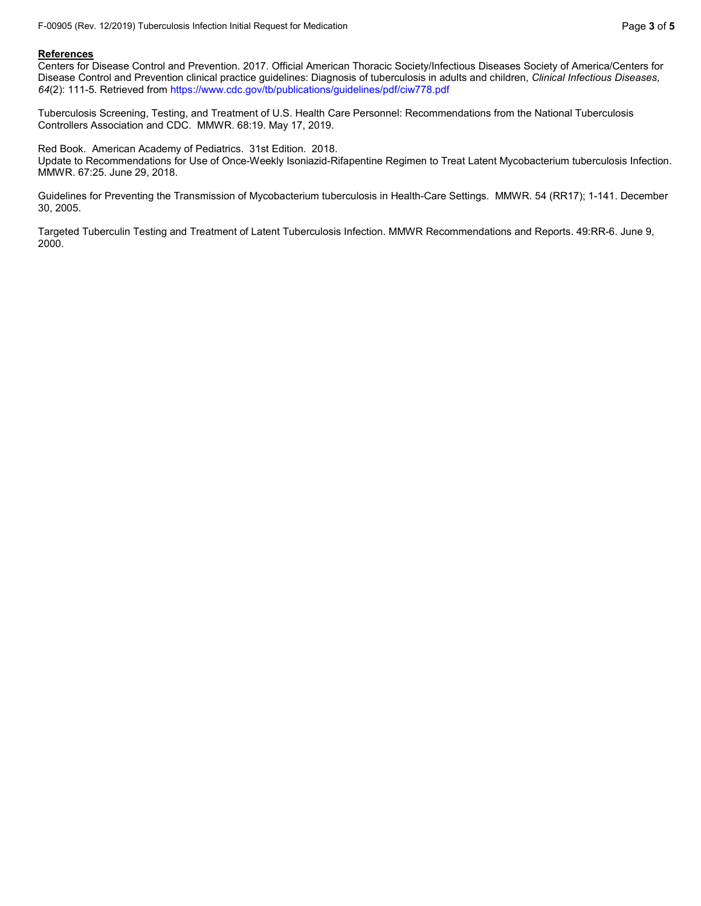#### **References**

Centers for Disease Control and Prevention. 2017. Official American Thoracic Society/Infectious Diseases Society of America/Centers for Disease Control and Prevention clinical practice guidelines: Diagnosis of tuberculosis in adults and children, *Clinical Infectious Diseases, 64*(2): 111-5. Retrieved from https://www.cdc.gov/tb/publications/guidelines/pdf/ciw778.pdf

Tuberculosis Screening, Testing, and Treatment of U.S. Health Care Personnel: Recommendations from the National Tuberculosis Controllers Association and CDC. MMWR. 68:19. May 17, 2019.

Red Book. American Academy of Pediatrics. 31st Edition. 2018.

Update to Recommendations for Use of Once-Weekly Isoniazid-Rifapentine Regimen to Treat Latent Mycobacterium tuberculosis Infection. MMWR. 67:25. June 29, 2018.

Guidelines for Preventing the Transmission of Mycobacterium tuberculosis in Health-Care Settings. MMWR. 54 (RR17); 1-141. December 30, 2005.

Targeted Tuberculin Testing and Treatment of Latent Tuberculosis Infection. MMWR Recommendations and Reports. 49:RR-6. June 9, 2000.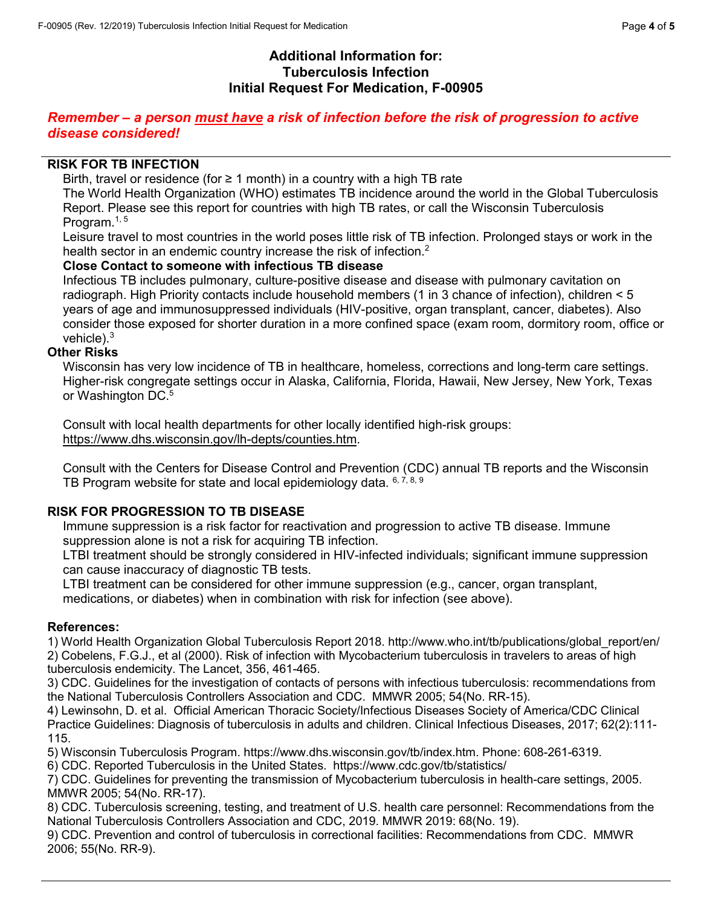# **Additional Information for: Tuberculosis Infection Initial Request For Medication, F-00905**

# *Remember – a person must have a risk of infection before the risk of progression to active disease considered!*

#### **RISK FOR TB INFECTION**

Birth, travel or residence (for  $\geq 1$  month) in a country with a high TB rate

The World Health Organization (WHO) estimates TB incidence around the world in the Global Tuberculosis Report. Please see this report for countries with high TB rates, or call the Wisconsin Tuberculosis Program. $1, 5$ 

Leisure travel to most countries in the world poses little risk of TB infection. Prolonged stays or work in the health sector in an endemic country increase the risk of infection.<sup>2</sup>

#### **Close Contact to someone with infectious TB disease**

Infectious TB includes pulmonary, culture-positive disease and disease with pulmonary cavitation on radiograph. High Priority contacts include household members (1 in 3 chance of infection), children < 5 years of age and immunosuppressed individuals (HIV-positive, organ transplant, cancer, diabetes). Also consider those exposed for shorter duration in a more confined space (exam room, dormitory room, office or vehicle $)$ .<sup>3</sup>

#### **Other Risks**

Wisconsin has very low incidence of TB in healthcare, homeless, corrections and long-term care settings. Higher-risk congregate settings occur in Alaska, California, Florida, Hawaii, New Jersey, New York, Texas or Washington DC.<sup>5</sup>

Consult with local health departments for other locally identified high-risk groups: [https://www.dhs.wisconsin.gov/lh-depts/counties.htm.](https://www.dhs.wisconsin.gov/lh-depts/counties.htm)

Consult with the Centers for Disease Control and Prevention (CDC) annual TB reports and the Wisconsin TB Program website for state and local epidemiology data.  $6, 7, 8, 9$ 

### **RISK FOR PROGRESSION TO TB DISEASE**

Immune suppression is a risk factor for reactivation and progression to active TB disease. Immune suppression alone is not a risk for acquiring TB infection.

LTBI treatment should be strongly considered in HIV-infected individuals; significant immune suppression can cause inaccuracy of diagnostic TB tests.

LTBI treatment can be considered for other immune suppression (e.g., cancer, organ transplant, medications, or diabetes) when in combination with risk for infection (see above).

#### **References:**

1) World Health Organization Global Tuberculosis Report 2018. http://www.who.int/tb/publications/global\_report/en/ 2) Cobelens, F.G.J., et al (2000). Risk of infection with Mycobacterium tuberculosis in travelers to areas of high tuberculosis endemicity. The Lancet, 356, 461-465.

3) CDC. Guidelines for the investigation of contacts of persons with infectious tuberculosis: recommendations from the National Tuberculosis Controllers Association and CDC. MMWR 2005; 54(No. RR-15).

4) Lewinsohn, D. et al. Official American Thoracic Society/Infectious Diseases Society of America/CDC Clinical Practice Guidelines: Diagnosis of tuberculosis in adults and children. Clinical Infectious Diseases, 2017; 62(2):111- 115.

5) Wisconsin Tuberculosis Program. https://www.dhs.wisconsin.gov/tb/index.htm. Phone: 608-261-6319.

6) CDC. Reported Tuberculosis in the United States. https://www.cdc.gov/tb/statistics/

7) CDC. Guidelines for preventing the transmission of Mycobacterium tuberculosis in health-care settings, 2005. MMWR 2005; 54(No. RR-17).

8) CDC. Tuberculosis screening, testing, and treatment of U.S. health care personnel: Recommendations from the National Tuberculosis Controllers Association and CDC, 2019. MMWR 2019: 68(No. 19).

9) CDC. Prevention and control of tuberculosis in correctional facilities: Recommendations from CDC. MMWR 2006; 55(No. RR-9).